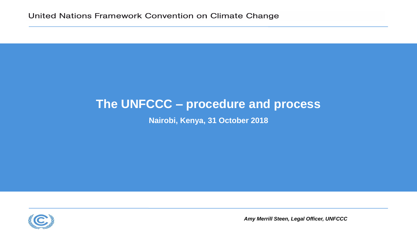#### **The UNFCCC – procedure and process**

**Nairobi, Kenya, 31 October 2018** 



*Amy Merrill Steen, Legal Officer, UNFCCC*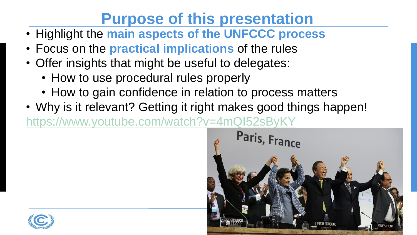# **Purpose of this presentation**

- Highlight the **main aspects of the UNFCCC process**
- Focus on the **practical implications** of the rules
- Offer insights that might be useful to delegates:
	- How to use procedural rules properly
	- How to gain confidence in relation to process matters
- Why is it relevant? Getting it right makes good things happen! <https://www.youtube.com/watch?v=4mQI52sByKY>



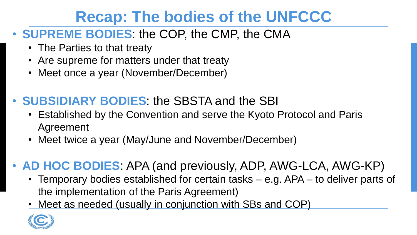## **Recap: The bodies of the UNFCCC**

#### • **SUPREME BODIES**: the COP, the CMP, the CMA

- The Parties to that treaty
- Are supreme for matters under that treaty
- Meet once a year (November/December)
- **SUBSIDIARY BODIES**: the SBSTA and the SBI
	- Established by the Convention and serve the Kyoto Protocol and Paris Agreement
	- Meet twice a year (May/June and November/December)

### • **AD HOC BODIES**: APA (and previously, ADP, AWG-LCA, AWG-KP)

- Temporary bodies established for certain tasks e.g. APA to deliver parts of the implementation of the Paris Agreement)
- Meet as needed (usually in conjunction with SBs and COP)

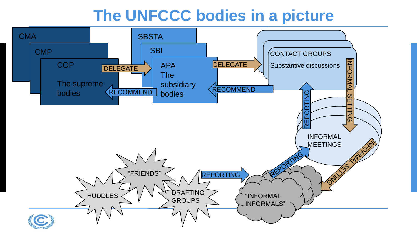### **The UNFCCC bodies in a picture**

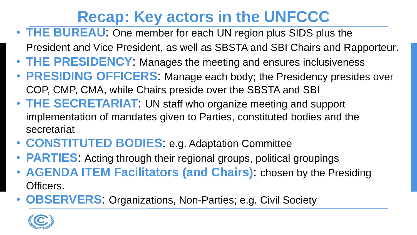# **Recap: Key actors in the UNFCCC**

- **THE BUREAU**: One member for each UN region plus SIDS plus the
	- President and Vice President, as well as SBSTA and SBI Chairs and Rapporteur.
- **THE PRESIDENCY**: Manages the meeting and ensures inclusiveness
- **PRESIDING OFFICERS**: Manage each body; the Presidency presides over COP, CMP, CMA, while Chairs preside over the SBSTA and SBI
- **THE SECRETARIAT**: UN staff who organize meeting and support implementation of mandates given to Parties, constituted bodies and the secretariat
- **CONSTITUTED BODIES**: e.g. Adaptation Committee
- **PARTIES**: Acting through their regional groups, political groupings
- **AGENDA ITEM Facilitators (and Chairs)**: chosen by the Presiding Officers.
- **OBSERVERS**: Organizations, Non-Parties; e.g. Civil Society

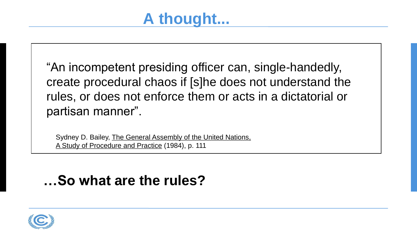"An incompetent presiding officer can, single-handedly, create procedural chaos if [s]he does not understand the rules, or does not enforce them or acts in a dictatorial or partisan manner".

Sydney D. Bailey, The General Assembly of the United Nations, A Study of Procedure and Practice (1984), p. 111

### **…So what are the rules?**

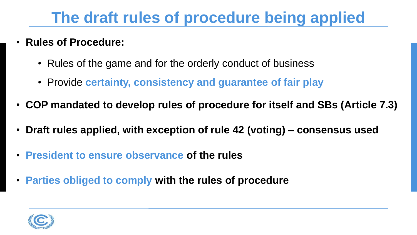## **The draft rules of procedure being applied**

- **Rules of Procedure:**
	- Rules of the game and for the orderly conduct of business
	- Provide **certainty, consistency and guarantee of fair play**
- **COP mandated to develop rules of procedure for itself and SBs (Article 7.3)**
- **Draft rules applied, with exception of rule 42 (voting) – consensus used**
- **President to ensure observance of the rules**
- **Parties obliged to comply with the rules of procedure**

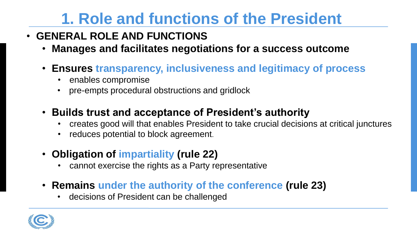## **1. Role and functions of the President**

- **GENERAL ROLE AND FUNCTIONS**
	- **Manages and facilitates negotiations for a success outcome**
	- **Ensures transparency, inclusiveness and legitimacy of process**
		- enables compromise
		- pre-empts procedural obstructions and gridlock
	- **Builds trust and acceptance of President's authority**
		- creates good will that enables President to take crucial decisions at critical junctures
		- reduces potential to block agreement.
	- **Obligation of impartiality (rule 22)**
		- cannot exercise the rights as a Party representative
	- **Remains under the authority of the conference (rule 23)**
		- decisions of President can be challenged

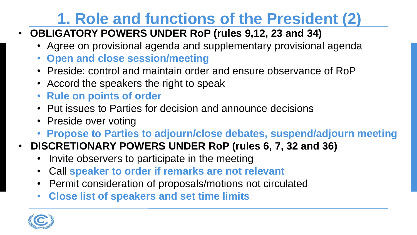# **1. Role and functions of the President (2)**

- **OBLIGATORY POWERS UNDER RoP (rules 9,12, 23 and 34)**
	- Agree on provisional agenda and supplementary provisional agenda
	- **Open and close session/meeting**
	- Preside: control and maintain order and ensure observance of RoP
	- Accord the speakers the right to speak
	- **Rule on points of order**
	- Put issues to Parties for decision and announce decisions
	- Preside over voting
	- **Propose to Parties to adjourn/close debates, suspend/adjourn meeting**
- **DISCRETIONARY POWERS UNDER RoP (rules 6, 7, 32 and 36)**
	- Invite observers to participate in the meeting
	- Call **speaker to order if remarks are not relevant**
	- Permit consideration of proposals/motions not circulated
	- **Close list of speakers and set time limits**

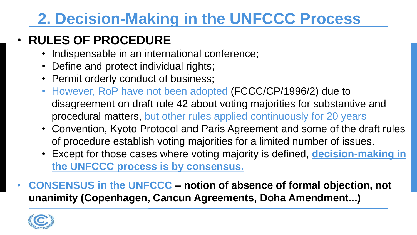# **2. Decision-Making in the UNFCCC Process**

#### • **RULES OF PROCEDURE**

- Indispensable in an international conference;
- Define and protect individual rights;
- Permit orderly conduct of business;
- However, RoP have not been adopted (FCCC/CP/1996/2) due to disagreement on draft rule 42 about voting majorities for substantive and procedural matters, but other rules applied continuously for 20 years
- Convention, Kyoto Protocol and Paris Agreement and some of the draft rules of procedure establish voting majorities for a limited number of issues.
- Except for those cases where voting majority is defined, **decision-making in the UNFCCC process is by consensus.**
- **CONSENSUS in the UNFCCC – notion of absence of formal objection, not unanimity (Copenhagen, Cancun Agreements, Doha Amendment...)**

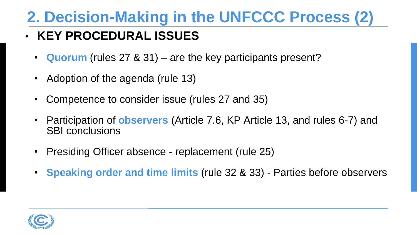## **2. Decision-Making in the UNFCCC Process (2)**

#### • **KEY PROCEDURAL ISSUES**

- **Quorum** (rules 27 & 31) are the key participants present?
- Adoption of the agenda (rule 13)
- Competence to consider issue (rules 27 and 35)
- Participation of **observers** (Article 7.6, KP Article 13, and rules 6-7) and SBI conclusions
- Presiding Officer absence replacement (rule 25)
- **Speaking order and time limits** (rule 32 & 33) Parties before observers

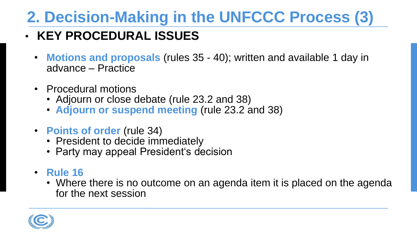# **2. Decision-Making in the UNFCCC Process (3)**

#### • **KEY PROCEDURAL ISSUES**

- **Motions and proposals** (rules 35 40); written and available 1 day in advance – Practice
- Procedural motions
	- Adjourn or close debate (rule 23.2 and 38)
	- **Adjourn or suspend meeting** (rule 23.2 and 38)
- **Points of order** (rule 34)
	- President to decide immediately
	- Party may appeal President's decision
- **Rule 16** 
	- Where there is no outcome on an agenda item it is placed on the agenda for the next session

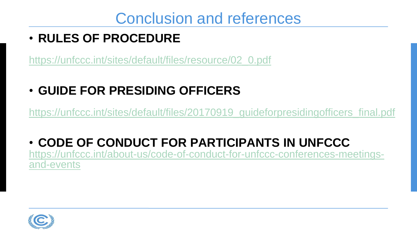### Conclusion and references

#### • **RULES OF PROCEDURE**

[https://unfccc.int/sites/default/files/resource/02\\_0.pdf](https://unfccc.int/sites/default/files/resource/02_0.pdf)

• **GUIDE FOR PRESIDING OFFICERS**

[https://unfccc.int/sites/default/files/20170919\\_guideforpresidingofficers\\_final.pdf](https://unfccc.int/sites/default/files/20170919_guideforpresidingofficers_final.pdf)

• **CODE OF CONDUCT FOR PARTICIPANTS IN UNFCCC**  [https://unfccc.int/about-us/code-of-conduct-for-unfccc-conferences-meetings](https://unfccc.int/about-us/code-of-conduct-for-unfccc-conferences-meetings-and-events)and-events